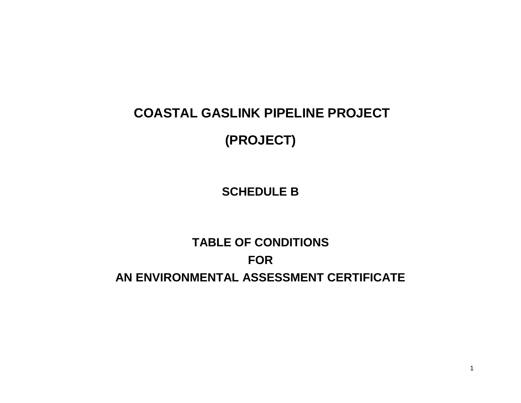# **COASTAL GASLINK PIPELINE PROJECT**

## **(PROJECT)**

**SCHEDULE B**

## **TABLE OF CONDITIONS FOR AN ENVIRONMENTAL ASSESSMENT CERTIFICATE**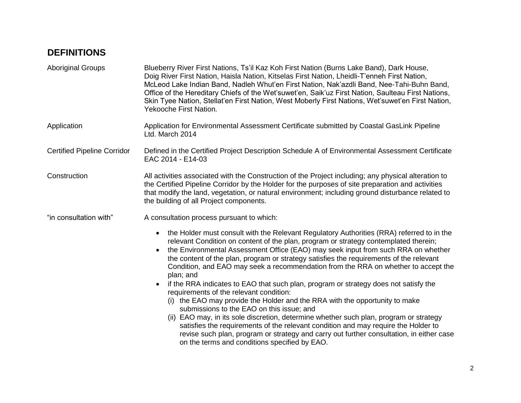### **DEFINITIONS**

| <b>Aboriginal Groups</b>           | Blueberry River First Nations, Ts'il Kaz Koh First Nation (Burns Lake Band), Dark House,<br>Doig River First Nation, Haisla Nation, Kitselas First Nation, Lheidli-T'enneh First Nation,<br>McLeod Lake Indian Band, Nadleh Whut'en First Nation, Nak'azdli Band, Nee-Tahi-Buhn Band,<br>Office of the Hereditary Chiefs of the Wet'suwet'en, Saik'uz First Nation, Saulteau First Nations,<br>Skin Tyee Nation, Stellat'en First Nation, West Moberly First Nations, Wet'suwet'en First Nation,<br>Yekooche First Nation.                                                                                                                                                                                                                                                                                                                                                                                                                                                                                                                                                                 |
|------------------------------------|--------------------------------------------------------------------------------------------------------------------------------------------------------------------------------------------------------------------------------------------------------------------------------------------------------------------------------------------------------------------------------------------------------------------------------------------------------------------------------------------------------------------------------------------------------------------------------------------------------------------------------------------------------------------------------------------------------------------------------------------------------------------------------------------------------------------------------------------------------------------------------------------------------------------------------------------------------------------------------------------------------------------------------------------------------------------------------------------|
| Application                        | Application for Environmental Assessment Certificate submitted by Coastal GasLink Pipeline<br>Ltd. March 2014                                                                                                                                                                                                                                                                                                                                                                                                                                                                                                                                                                                                                                                                                                                                                                                                                                                                                                                                                                              |
| <b>Certified Pipeline Corridor</b> | Defined in the Certified Project Description Schedule A of Environmental Assessment Certificate<br>EAC 2014 - E14-03                                                                                                                                                                                                                                                                                                                                                                                                                                                                                                                                                                                                                                                                                                                                                                                                                                                                                                                                                                       |
| Construction                       | All activities associated with the Construction of the Project including; any physical alteration to<br>the Certified Pipeline Corridor by the Holder for the purposes of site preparation and activities<br>that modify the land, vegetation, or natural environment; including ground disturbance related to<br>the building of all Project components.                                                                                                                                                                                                                                                                                                                                                                                                                                                                                                                                                                                                                                                                                                                                  |
| "in consultation with"             | A consultation process pursuant to which:                                                                                                                                                                                                                                                                                                                                                                                                                                                                                                                                                                                                                                                                                                                                                                                                                                                                                                                                                                                                                                                  |
|                                    | the Holder must consult with the Relevant Regulatory Authorities (RRA) referred to in the<br>$\bullet$<br>relevant Condition on content of the plan, program or strategy contemplated therein;<br>the Environmental Assessment Office (EAO) may seek input from such RRA on whether<br>the content of the plan, program or strategy satisfies the requirements of the relevant<br>Condition, and EAO may seek a recommendation from the RRA on whether to accept the<br>plan; and<br>if the RRA indicates to EAO that such plan, program or strategy does not satisfy the<br>$\bullet$<br>requirements of the relevant condition:<br>(i) the EAO may provide the Holder and the RRA with the opportunity to make<br>submissions to the EAO on this issue; and<br>(ii) EAO may, in its sole discretion, determine whether such plan, program or strategy<br>satisfies the requirements of the relevant condition and may require the Holder to<br>revise such plan, program or strategy and carry out further consultation, in either case<br>on the terms and conditions specified by EAO. |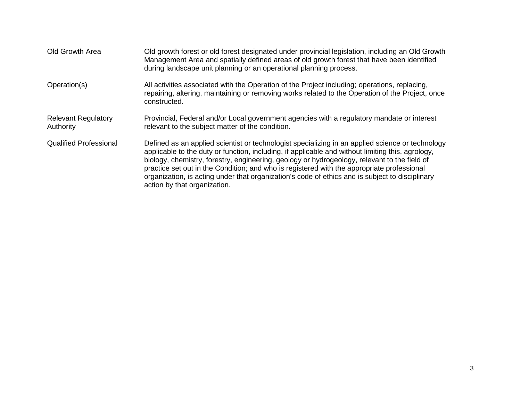| Old Growth Area                         | Old growth forest or old forest designated under provincial legislation, including an Old Growth<br>Management Area and spatially defined areas of old growth forest that have been identified<br>during landscape unit planning or an operational planning process.                                                                                                                                                                                                                                                                   |
|-----------------------------------------|----------------------------------------------------------------------------------------------------------------------------------------------------------------------------------------------------------------------------------------------------------------------------------------------------------------------------------------------------------------------------------------------------------------------------------------------------------------------------------------------------------------------------------------|
| Operation(s)                            | All activities associated with the Operation of the Project including; operations, replacing,<br>repairing, altering, maintaining or removing works related to the Operation of the Project, once<br>constructed.                                                                                                                                                                                                                                                                                                                      |
| <b>Relevant Regulatory</b><br>Authority | Provincial, Federal and/or Local government agencies with a regulatory mandate or interest<br>relevant to the subject matter of the condition.                                                                                                                                                                                                                                                                                                                                                                                         |
| <b>Qualified Professional</b>           | Defined as an applied scientist or technologist specializing in an applied science or technology<br>applicable to the duty or function, including, if applicable and without limiting this, agrology,<br>biology, chemistry, forestry, engineering, geology or hydrogeology, relevant to the field of<br>practice set out in the Condition; and who is registered with the appropriate professional<br>organization, is acting under that organization's code of ethics and is subject to disciplinary<br>action by that organization. |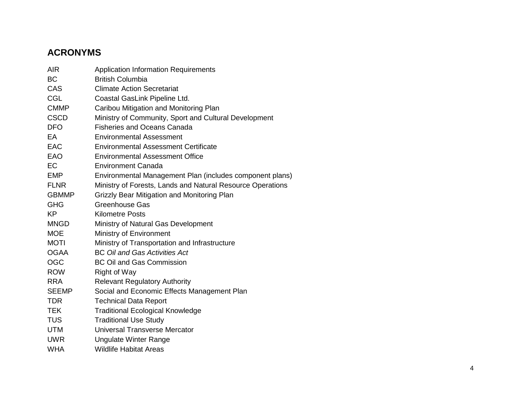## **ACRONYMS**

| <b>AIR</b>   | <b>Application Information Requirements</b>                |
|--------------|------------------------------------------------------------|
| <b>BC</b>    | <b>British Columbia</b>                                    |
| CAS          | <b>Climate Action Secretariat</b>                          |
| <b>CGL</b>   | Coastal GasLink Pipeline Ltd.                              |
| <b>CMMP</b>  | Caribou Mitigation and Monitoring Plan                     |
| <b>CSCD</b>  | Ministry of Community, Sport and Cultural Development      |
| <b>DFO</b>   | <b>Fisheries and Oceans Canada</b>                         |
| EA           | <b>Environmental Assessment</b>                            |
| <b>EAC</b>   | <b>Environmental Assessment Certificate</b>                |
| <b>EAO</b>   | <b>Environmental Assessment Office</b>                     |
| <b>EC</b>    | Environment Canada                                         |
| <b>EMP</b>   | Environmental Management Plan (includes component plans)   |
| <b>FLNR</b>  | Ministry of Forests, Lands and Natural Resource Operations |
| <b>GBMMP</b> | Grizzly Bear Mitigation and Monitoring Plan                |
| <b>GHG</b>   | <b>Greenhouse Gas</b>                                      |
| <b>KP</b>    | <b>Kilometre Posts</b>                                     |
| <b>MNGD</b>  | Ministry of Natural Gas Development                        |
| <b>MOE</b>   | Ministry of Environment                                    |
| <b>MOTI</b>  | Ministry of Transportation and Infrastructure              |
| <b>OGAA</b>  | <b>BC Oil and Gas Activities Act</b>                       |
| <b>OGC</b>   | <b>BC Oil and Gas Commission</b>                           |
| <b>ROW</b>   | <b>Right of Way</b>                                        |
| <b>RRA</b>   | <b>Relevant Regulatory Authority</b>                       |
| <b>SEEMP</b> | Social and Economic Effects Management Plan                |
| <b>TDR</b>   | <b>Technical Data Report</b>                               |
| <b>TEK</b>   | <b>Traditional Ecological Knowledge</b>                    |
| <b>TUS</b>   | <b>Traditional Use Study</b>                               |
| <b>UTM</b>   | Universal Transverse Mercator                              |
| <b>UWR</b>   | <b>Ungulate Winter Range</b>                               |
| <b>WHA</b>   | <b>Wildlife Habitat Areas</b>                              |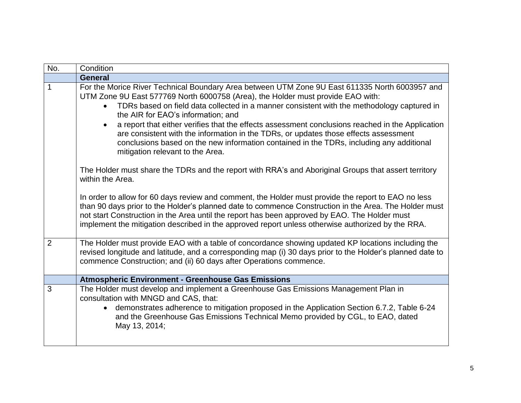| No.          | Condition                                                                                                                                                                                                                                                                                                                                                                                                          |
|--------------|--------------------------------------------------------------------------------------------------------------------------------------------------------------------------------------------------------------------------------------------------------------------------------------------------------------------------------------------------------------------------------------------------------------------|
|              | <b>General</b>                                                                                                                                                                                                                                                                                                                                                                                                     |
| $\mathbf{1}$ | For the Morice River Technical Boundary Area between UTM Zone 9U East 611335 North 6003957 and<br>UTM Zone 9U East 577769 North 6000758 (Area), the Holder must provide EAO with:                                                                                                                                                                                                                                  |
|              | TDRs based on field data collected in a manner consistent with the methodology captured in<br>$\bullet$<br>the AIR for EAO's information; and                                                                                                                                                                                                                                                                      |
|              | a report that either verifies that the effects assessment conclusions reached in the Application<br>are consistent with the information in the TDRs, or updates those effects assessment<br>conclusions based on the new information contained in the TDRs, including any additional<br>mitigation relevant to the Area.                                                                                           |
|              | The Holder must share the TDRs and the report with RRA's and Aboriginal Groups that assert territory<br>within the Area.                                                                                                                                                                                                                                                                                           |
|              | In order to allow for 60 days review and comment, the Holder must provide the report to EAO no less<br>than 90 days prior to the Holder's planned date to commence Construction in the Area. The Holder must<br>not start Construction in the Area until the report has been approved by EAO. The Holder must<br>implement the mitigation described in the approved report unless otherwise authorized by the RRA. |
| 2            | The Holder must provide EAO with a table of concordance showing updated KP locations including the<br>revised longitude and latitude, and a corresponding map (i) 30 days prior to the Holder's planned date to<br>commence Construction; and (ii) 60 days after Operations commence.                                                                                                                              |
|              | <b>Atmospheric Environment - Greenhouse Gas Emissions</b>                                                                                                                                                                                                                                                                                                                                                          |
| 3            | The Holder must develop and implement a Greenhouse Gas Emissions Management Plan in<br>consultation with MNGD and CAS, that:<br>demonstrates adherence to mitigation proposed in the Application Section 6.7.2, Table 6-24<br>$\bullet$<br>and the Greenhouse Gas Emissions Technical Memo provided by CGL, to EAO, dated                                                                                          |
|              | May 13, 2014;                                                                                                                                                                                                                                                                                                                                                                                                      |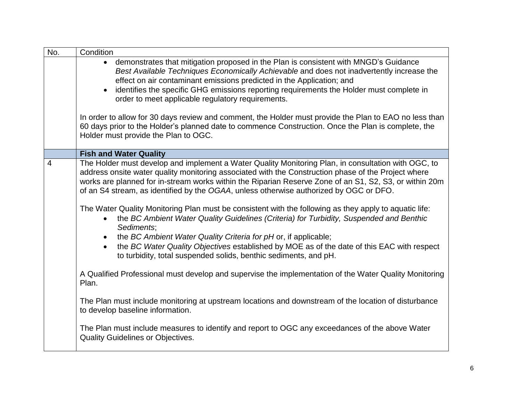| No.            | Condition                                                                                                                                                                                                                                                                                                                                                                                                                                                                                                                                                                                                                                                                                      |
|----------------|------------------------------------------------------------------------------------------------------------------------------------------------------------------------------------------------------------------------------------------------------------------------------------------------------------------------------------------------------------------------------------------------------------------------------------------------------------------------------------------------------------------------------------------------------------------------------------------------------------------------------------------------------------------------------------------------|
|                | demonstrates that mitigation proposed in the Plan is consistent with MNGD's Guidance<br>$\bullet$<br>Best Available Techniques Economically Achievable and does not inadvertently increase the<br>effect on air contaminant emissions predicted in the Application; and<br>identifies the specific GHG emissions reporting requirements the Holder must complete in<br>$\bullet$<br>order to meet applicable regulatory requirements.<br>In order to allow for 30 days review and comment, the Holder must provide the Plan to EAO no less than<br>60 days prior to the Holder's planned date to commence Construction. Once the Plan is complete, the<br>Holder must provide the Plan to OGC. |
|                | <b>Fish and Water Quality</b>                                                                                                                                                                                                                                                                                                                                                                                                                                                                                                                                                                                                                                                                  |
| $\overline{4}$ | The Holder must develop and implement a Water Quality Monitoring Plan, in consultation with OGC, to<br>address onsite water quality monitoring associated with the Construction phase of the Project where<br>works are planned for in-stream works within the Riparian Reserve Zone of an S1, S2, S3, or within 20m<br>of an S4 stream, as identified by the OGAA, unless otherwise authorized by OGC or DFO.<br>The Water Quality Monitoring Plan must be consistent with the following as they apply to aquatic life:<br>the BC Ambient Water Quality Guidelines (Criteria) for Turbidity, Suspended and Benthic<br>$\bullet$<br>Sediments;                                                 |
|                | the BC Ambient Water Quality Criteria for pH or, if applicable;<br>$\bullet$<br>the BC Water Quality Objectives established by MOE as of the date of this EAC with respect<br>$\bullet$<br>to turbidity, total suspended solids, benthic sediments, and pH.                                                                                                                                                                                                                                                                                                                                                                                                                                    |
|                | A Qualified Professional must develop and supervise the implementation of the Water Quality Monitoring<br>Plan.                                                                                                                                                                                                                                                                                                                                                                                                                                                                                                                                                                                |
|                | The Plan must include monitoring at upstream locations and downstream of the location of disturbance<br>to develop baseline information.                                                                                                                                                                                                                                                                                                                                                                                                                                                                                                                                                       |
|                | The Plan must include measures to identify and report to OGC any exceedances of the above Water<br><b>Quality Guidelines or Objectives.</b>                                                                                                                                                                                                                                                                                                                                                                                                                                                                                                                                                    |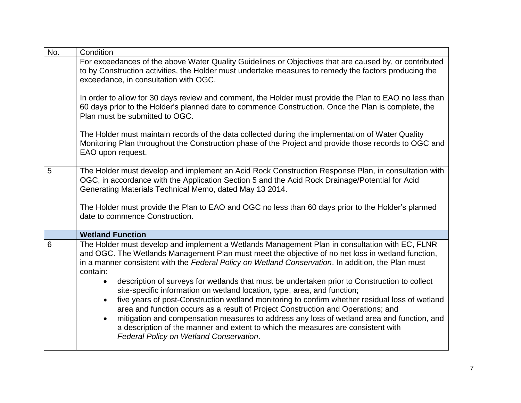| No. | Condition                                                                                                                                                                                                                                                                                                                                                                                                                                                                                                      |
|-----|----------------------------------------------------------------------------------------------------------------------------------------------------------------------------------------------------------------------------------------------------------------------------------------------------------------------------------------------------------------------------------------------------------------------------------------------------------------------------------------------------------------|
|     | For exceedances of the above Water Quality Guidelines or Objectives that are caused by, or contributed<br>to by Construction activities, the Holder must undertake measures to remedy the factors producing the<br>exceedance, in consultation with OGC.                                                                                                                                                                                                                                                       |
|     | In order to allow for 30 days review and comment, the Holder must provide the Plan to EAO no less than<br>60 days prior to the Holder's planned date to commence Construction. Once the Plan is complete, the<br>Plan must be submitted to OGC.                                                                                                                                                                                                                                                                |
|     | The Holder must maintain records of the data collected during the implementation of Water Quality<br>Monitoring Plan throughout the Construction phase of the Project and provide those records to OGC and<br>EAO upon request.                                                                                                                                                                                                                                                                                |
| 5   | The Holder must develop and implement an Acid Rock Construction Response Plan, in consultation with<br>OGC, in accordance with the Application Section 5 and the Acid Rock Drainage/Potential for Acid<br>Generating Materials Technical Memo, dated May 13 2014.                                                                                                                                                                                                                                              |
|     | The Holder must provide the Plan to EAO and OGC no less than 60 days prior to the Holder's planned<br>date to commence Construction.                                                                                                                                                                                                                                                                                                                                                                           |
|     | <b>Wetland Function</b>                                                                                                                                                                                                                                                                                                                                                                                                                                                                                        |
| 6   | The Holder must develop and implement a Wetlands Management Plan in consultation with EC, FLNR<br>and OGC. The Wetlands Management Plan must meet the objective of no net loss in wetland function,<br>in a manner consistent with the Federal Policy on Wetland Conservation. In addition, the Plan must<br>contain:<br>description of surveys for wetlands that must be undertaken prior to Construction to collect<br>$\bullet$<br>site-specific information on wetland location, type, area, and function; |
|     | five years of post-Construction wetland monitoring to confirm whether residual loss of wetland<br>$\bullet$<br>area and function occurs as a result of Project Construction and Operations; and<br>mitigation and compensation measures to address any loss of wetland area and function, and<br>$\bullet$<br>a description of the manner and extent to which the measures are consistent with<br>Federal Policy on Wetland Conservation.                                                                      |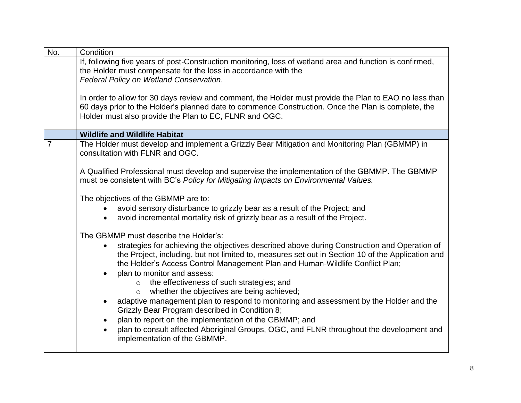| No.            | Condition                                                                                                                                                                                                                                                                                                         |
|----------------|-------------------------------------------------------------------------------------------------------------------------------------------------------------------------------------------------------------------------------------------------------------------------------------------------------------------|
|                | If, following five years of post-Construction monitoring, loss of wetland area and function is confirmed,<br>the Holder must compensate for the loss in accordance with the                                                                                                                                       |
|                | Federal Policy on Wetland Conservation.                                                                                                                                                                                                                                                                           |
|                | In order to allow for 30 days review and comment, the Holder must provide the Plan to EAO no less than<br>60 days prior to the Holder's planned date to commence Construction. Once the Plan is complete, the<br>Holder must also provide the Plan to EC, FLNR and OGC.                                           |
|                | <b>Wildlife and Wildlife Habitat</b>                                                                                                                                                                                                                                                                              |
| $\overline{7}$ | The Holder must develop and implement a Grizzly Bear Mitigation and Monitoring Plan (GBMMP) in<br>consultation with FLNR and OGC.                                                                                                                                                                                 |
|                | A Qualified Professional must develop and supervise the implementation of the GBMMP. The GBMMP<br>must be consistent with BC's Policy for Mitigating Impacts on Environmental Values.                                                                                                                             |
|                | The objectives of the GBMMP are to:                                                                                                                                                                                                                                                                               |
|                | avoid sensory disturbance to grizzly bear as a result of the Project; and                                                                                                                                                                                                                                         |
|                | avoid incremental mortality risk of grizzly bear as a result of the Project.                                                                                                                                                                                                                                      |
|                | The GBMMP must describe the Holder's:                                                                                                                                                                                                                                                                             |
|                | strategies for achieving the objectives described above during Construction and Operation of<br>the Project, including, but not limited to, measures set out in Section 10 of the Application and<br>the Holder's Access Control Management Plan and Human-Wildlife Conflict Plan;<br>plan to monitor and assess: |
|                | the effectiveness of such strategies; and<br>$\circ$<br>whether the objectives are being achieved;<br>$\circ$                                                                                                                                                                                                     |
|                | adaptive management plan to respond to monitoring and assessment by the Holder and the<br>Grizzly Bear Program described in Condition 8;                                                                                                                                                                          |
|                | plan to report on the implementation of the GBMMP; and                                                                                                                                                                                                                                                            |
|                | plan to consult affected Aboriginal Groups, OGC, and FLNR throughout the development and<br>implementation of the GBMMP.                                                                                                                                                                                          |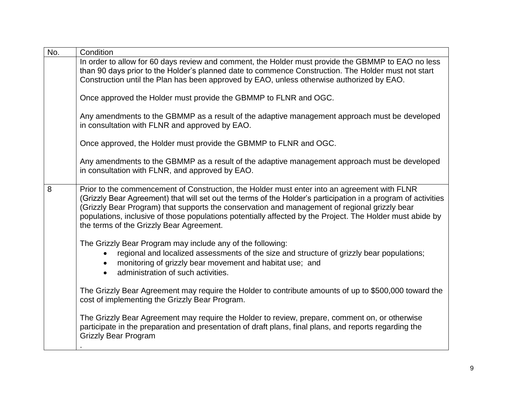| No. | Condition                                                                                                                                                                                                                                                                                                                                                                                                                                                               |
|-----|-------------------------------------------------------------------------------------------------------------------------------------------------------------------------------------------------------------------------------------------------------------------------------------------------------------------------------------------------------------------------------------------------------------------------------------------------------------------------|
|     | In order to allow for 60 days review and comment, the Holder must provide the GBMMP to EAO no less<br>than 90 days prior to the Holder's planned date to commence Construction. The Holder must not start                                                                                                                                                                                                                                                               |
|     | Construction until the Plan has been approved by EAO, unless otherwise authorized by EAO.                                                                                                                                                                                                                                                                                                                                                                               |
|     | Once approved the Holder must provide the GBMMP to FLNR and OGC.                                                                                                                                                                                                                                                                                                                                                                                                        |
|     | Any amendments to the GBMMP as a result of the adaptive management approach must be developed<br>in consultation with FLNR and approved by EAO.                                                                                                                                                                                                                                                                                                                         |
|     | Once approved, the Holder must provide the GBMMP to FLNR and OGC.                                                                                                                                                                                                                                                                                                                                                                                                       |
|     | Any amendments to the GBMMP as a result of the adaptive management approach must be developed<br>in consultation with FLNR, and approved by EAO.                                                                                                                                                                                                                                                                                                                        |
| 8   | Prior to the commencement of Construction, the Holder must enter into an agreement with FLNR<br>(Grizzly Bear Agreement) that will set out the terms of the Holder's participation in a program of activities<br>(Grizzly Bear Program) that supports the conservation and management of regional grizzly bear<br>populations, inclusive of those populations potentially affected by the Project. The Holder must abide by<br>the terms of the Grizzly Bear Agreement. |
|     | The Grizzly Bear Program may include any of the following:<br>regional and localized assessments of the size and structure of grizzly bear populations;<br>monitoring of grizzly bear movement and habitat use; and<br>$\bullet$<br>administration of such activities.<br>$\bullet$                                                                                                                                                                                     |
|     | The Grizzly Bear Agreement may require the Holder to contribute amounts of up to \$500,000 toward the<br>cost of implementing the Grizzly Bear Program.                                                                                                                                                                                                                                                                                                                 |
|     | The Grizzly Bear Agreement may require the Holder to review, prepare, comment on, or otherwise<br>participate in the preparation and presentation of draft plans, final plans, and reports regarding the<br><b>Grizzly Bear Program</b>                                                                                                                                                                                                                                 |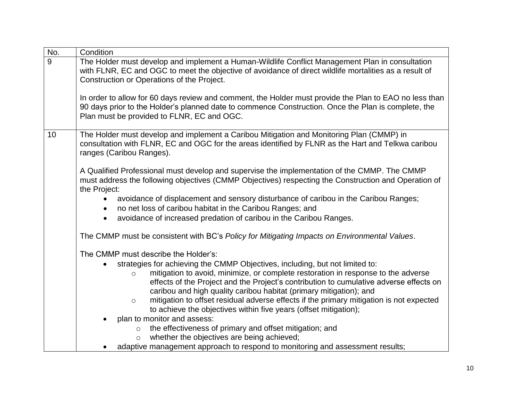| No. | Condition                                                                                                                                                                                                     |
|-----|---------------------------------------------------------------------------------------------------------------------------------------------------------------------------------------------------------------|
| 9   | The Holder must develop and implement a Human-Wildlife Conflict Management Plan in consultation                                                                                                               |
|     | with FLNR, EC and OGC to meet the objective of avoidance of direct wildlife mortalities as a result of                                                                                                        |
|     | Construction or Operations of the Project.                                                                                                                                                                    |
|     |                                                                                                                                                                                                               |
|     | In order to allow for 60 days review and comment, the Holder must provide the Plan to EAO no less than<br>90 days prior to the Holder's planned date to commence Construction. Once the Plan is complete, the |
|     | Plan must be provided to FLNR, EC and OGC.                                                                                                                                                                    |
|     |                                                                                                                                                                                                               |
| 10  | The Holder must develop and implement a Caribou Mitigation and Monitoring Plan (CMMP) in                                                                                                                      |
|     | consultation with FLNR, EC and OGC for the areas identified by FLNR as the Hart and Telkwa caribou                                                                                                            |
|     | ranges (Caribou Ranges).                                                                                                                                                                                      |
|     |                                                                                                                                                                                                               |
|     | A Qualified Professional must develop and supervise the implementation of the CMMP. The CMMP                                                                                                                  |
|     | must address the following objectives (CMMP Objectives) respecting the Construction and Operation of<br>the Project:                                                                                          |
|     | avoidance of displacement and sensory disturbance of caribou in the Caribou Ranges;                                                                                                                           |
|     | no net loss of caribou habitat in the Caribou Ranges; and                                                                                                                                                     |
|     | avoidance of increased predation of caribou in the Caribou Ranges.                                                                                                                                            |
|     |                                                                                                                                                                                                               |
|     | The CMMP must be consistent with BC's Policy for Mitigating Impacts on Environmental Values.                                                                                                                  |
|     | The CMMP must describe the Holder's:                                                                                                                                                                          |
|     | strategies for achieving the CMMP Objectives, including, but not limited to:                                                                                                                                  |
|     | mitigation to avoid, minimize, or complete restoration in response to the adverse<br>$\circ$                                                                                                                  |
|     | effects of the Project and the Project's contribution to cumulative adverse effects on                                                                                                                        |
|     | caribou and high quality caribou habitat (primary mitigation); and                                                                                                                                            |
|     | mitigation to offset residual adverse effects if the primary mitigation is not expected<br>$\circ$                                                                                                            |
|     | to achieve the objectives within five years (offset mitigation);                                                                                                                                              |
|     | plan to monitor and assess:<br>$\bullet$<br>the effectiveness of primary and offset mitigation; and                                                                                                           |
|     | $\circ$<br>whether the objectives are being achieved;<br>$\circ$                                                                                                                                              |
|     | adaptive management approach to respond to monitoring and assessment results;                                                                                                                                 |
|     |                                                                                                                                                                                                               |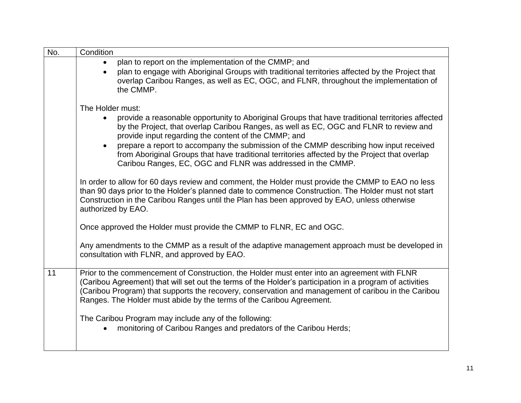| No. | Condition                                                                                                                                                                                                                                                                                                                                                                               |
|-----|-----------------------------------------------------------------------------------------------------------------------------------------------------------------------------------------------------------------------------------------------------------------------------------------------------------------------------------------------------------------------------------------|
|     | plan to report on the implementation of the CMMP; and                                                                                                                                                                                                                                                                                                                                   |
|     | plan to engage with Aboriginal Groups with traditional territories affected by the Project that<br>$\bullet$<br>overlap Caribou Ranges, as well as EC, OGC, and FLNR, throughout the implementation of<br>the CMMP.                                                                                                                                                                     |
|     | The Holder must:                                                                                                                                                                                                                                                                                                                                                                        |
|     | provide a reasonable opportunity to Aboriginal Groups that have traditional territories affected<br>$\bullet$<br>by the Project, that overlap Caribou Ranges, as well as EC, OGC and FLNR to review and<br>provide input regarding the content of the CMMP; and                                                                                                                         |
|     | prepare a report to accompany the submission of the CMMP describing how input received<br>$\bullet$<br>from Aboriginal Groups that have traditional territories affected by the Project that overlap<br>Caribou Ranges, EC, OGC and FLNR was addressed in the CMMP.                                                                                                                     |
|     | In order to allow for 60 days review and comment, the Holder must provide the CMMP to EAO no less<br>than 90 days prior to the Holder's planned date to commence Construction. The Holder must not start<br>Construction in the Caribou Ranges until the Plan has been approved by EAO, unless otherwise<br>authorized by EAO.                                                          |
|     | Once approved the Holder must provide the CMMP to FLNR, EC and OGC.                                                                                                                                                                                                                                                                                                                     |
|     | Any amendments to the CMMP as a result of the adaptive management approach must be developed in<br>consultation with FLNR, and approved by EAO.                                                                                                                                                                                                                                         |
| 11  | Prior to the commencement of Construction, the Holder must enter into an agreement with FLNR<br>(Caribou Agreement) that will set out the terms of the Holder's participation in a program of activities<br>(Caribou Program) that supports the recovery, conservation and management of caribou in the Caribou<br>Ranges. The Holder must abide by the terms of the Caribou Agreement. |
|     | The Caribou Program may include any of the following:<br>monitoring of Caribou Ranges and predators of the Caribou Herds;                                                                                                                                                                                                                                                               |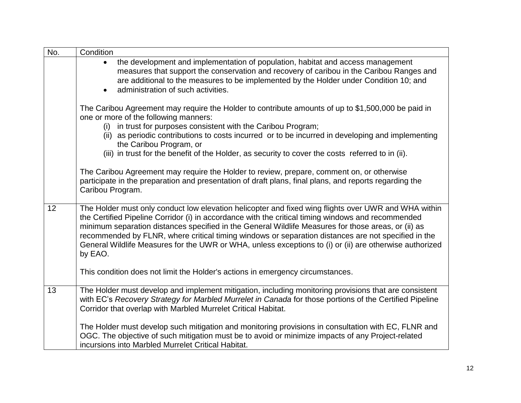| No. | Condition                                                                                                                                                                                                                                                                                                                                                                                                                                                                                                                                      |
|-----|------------------------------------------------------------------------------------------------------------------------------------------------------------------------------------------------------------------------------------------------------------------------------------------------------------------------------------------------------------------------------------------------------------------------------------------------------------------------------------------------------------------------------------------------|
|     | the development and implementation of population, habitat and access management<br>$\bullet$<br>measures that support the conservation and recovery of caribou in the Caribou Ranges and<br>are additional to the measures to be implemented by the Holder under Condition 10; and<br>administration of such activities.<br>$\bullet$                                                                                                                                                                                                          |
|     | The Caribou Agreement may require the Holder to contribute amounts of up to \$1,500,000 be paid in<br>one or more of the following manners:                                                                                                                                                                                                                                                                                                                                                                                                    |
|     | (i) in trust for purposes consistent with the Caribou Program;<br>(ii) as periodic contributions to costs incurred or to be incurred in developing and implementing<br>the Caribou Program, or                                                                                                                                                                                                                                                                                                                                                 |
|     | (iii) in trust for the benefit of the Holder, as security to cover the costs referred to in (ii).                                                                                                                                                                                                                                                                                                                                                                                                                                              |
|     | The Caribou Agreement may require the Holder to review, prepare, comment on, or otherwise<br>participate in the preparation and presentation of draft plans, final plans, and reports regarding the<br>Caribou Program.                                                                                                                                                                                                                                                                                                                        |
| 12  | The Holder must only conduct low elevation helicopter and fixed wing flights over UWR and WHA within<br>the Certified Pipeline Corridor (i) in accordance with the critical timing windows and recommended<br>minimum separation distances specified in the General Wildlife Measures for those areas, or (ii) as<br>recommended by FLNR, where critical timing windows or separation distances are not specified in the<br>General Wildlife Measures for the UWR or WHA, unless exceptions to (i) or (ii) are otherwise authorized<br>by EAO. |
|     | This condition does not limit the Holder's actions in emergency circumstances.                                                                                                                                                                                                                                                                                                                                                                                                                                                                 |
| 13  | The Holder must develop and implement mitigation, including monitoring provisions that are consistent<br>with EC's Recovery Strategy for Marbled Murrelet in Canada for those portions of the Certified Pipeline<br>Corridor that overlap with Marbled Murrelet Critical Habitat.                                                                                                                                                                                                                                                              |
|     | The Holder must develop such mitigation and monitoring provisions in consultation with EC, FLNR and<br>OGC. The objective of such mitigation must be to avoid or minimize impacts of any Project-related<br>incursions into Marbled Murrelet Critical Habitat.                                                                                                                                                                                                                                                                                 |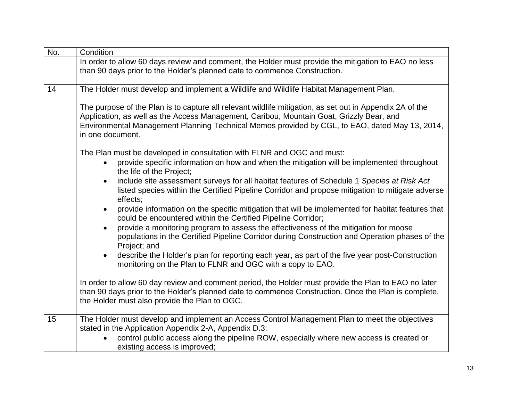| No. | Condition                                                                                                                                                                                                                                                                                                                  |
|-----|----------------------------------------------------------------------------------------------------------------------------------------------------------------------------------------------------------------------------------------------------------------------------------------------------------------------------|
|     | In order to allow 60 days review and comment, the Holder must provide the mitigation to EAO no less<br>than 90 days prior to the Holder's planned date to commence Construction.                                                                                                                                           |
| 14  | The Holder must develop and implement a Wildlife and Wildlife Habitat Management Plan.                                                                                                                                                                                                                                     |
|     | The purpose of the Plan is to capture all relevant wildlife mitigation, as set out in Appendix 2A of the<br>Application, as well as the Access Management, Caribou, Mountain Goat, Grizzly Bear, and<br>Environmental Management Planning Technical Memos provided by CGL, to EAO, dated May 13, 2014,<br>in one document. |
|     | The Plan must be developed in consultation with FLNR and OGC and must:                                                                                                                                                                                                                                                     |
|     | provide specific information on how and when the mitigation will be implemented throughout<br>the life of the Project;                                                                                                                                                                                                     |
|     | include site assessment surveys for all habitat features of Schedule 1 Species at Risk Act<br>$\bullet$<br>listed species within the Certified Pipeline Corridor and propose mitigation to mitigate adverse<br>effects;                                                                                                    |
|     | provide information on the specific mitigation that will be implemented for habitat features that<br>$\bullet$<br>could be encountered within the Certified Pipeline Corridor;                                                                                                                                             |
|     | provide a monitoring program to assess the effectiveness of the mitigation for moose<br>$\bullet$<br>populations in the Certified Pipeline Corridor during Construction and Operation phases of the<br>Project; and                                                                                                        |
|     | describe the Holder's plan for reporting each year, as part of the five year post-Construction<br>$\bullet$<br>monitoring on the Plan to FLNR and OGC with a copy to EAO.                                                                                                                                                  |
|     | In order to allow 60 day review and comment period, the Holder must provide the Plan to EAO no later<br>than 90 days prior to the Holder's planned date to commence Construction. Once the Plan is complete,<br>the Holder must also provide the Plan to OGC.                                                              |
| 15  | The Holder must develop and implement an Access Control Management Plan to meet the objectives                                                                                                                                                                                                                             |
|     | stated in the Application Appendix 2-A, Appendix D.3:<br>control public access along the pipeline ROW, especially where new access is created or                                                                                                                                                                           |
|     | existing access is improved;                                                                                                                                                                                                                                                                                               |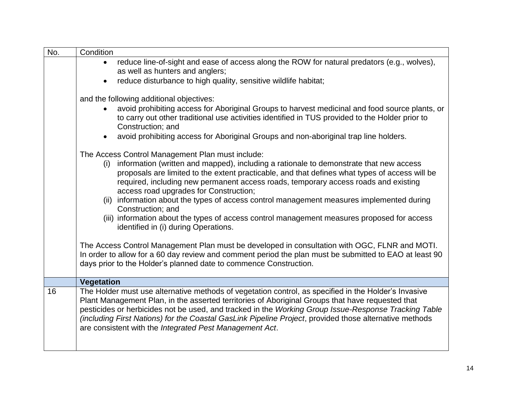| No. | Condition                                                                                                                                                                                                                                                                                                                                                                                                                                                                             |  |  |
|-----|---------------------------------------------------------------------------------------------------------------------------------------------------------------------------------------------------------------------------------------------------------------------------------------------------------------------------------------------------------------------------------------------------------------------------------------------------------------------------------------|--|--|
|     | reduce line-of-sight and ease of access along the ROW for natural predators (e.g., wolves),<br>$\bullet$                                                                                                                                                                                                                                                                                                                                                                              |  |  |
|     | as well as hunters and anglers;                                                                                                                                                                                                                                                                                                                                                                                                                                                       |  |  |
|     | reduce disturbance to high quality, sensitive wildlife habitat;<br>$\bullet$                                                                                                                                                                                                                                                                                                                                                                                                          |  |  |
|     |                                                                                                                                                                                                                                                                                                                                                                                                                                                                                       |  |  |
|     | and the following additional objectives:                                                                                                                                                                                                                                                                                                                                                                                                                                              |  |  |
|     | avoid prohibiting access for Aboriginal Groups to harvest medicinal and food source plants, or<br>to carry out other traditional use activities identified in TUS provided to the Holder prior to<br>Construction; and                                                                                                                                                                                                                                                                |  |  |
|     | avoid prohibiting access for Aboriginal Groups and non-aboriginal trap line holders.<br>$\bullet$                                                                                                                                                                                                                                                                                                                                                                                     |  |  |
|     | The Access Control Management Plan must include:                                                                                                                                                                                                                                                                                                                                                                                                                                      |  |  |
|     | (i) information (written and mapped), including a rationale to demonstrate that new access<br>proposals are limited to the extent practicable, and that defines what types of access will be<br>required, including new permanent access roads, temporary access roads and existing<br>access road upgrades for Construction;                                                                                                                                                         |  |  |
|     | (ii) information about the types of access control management measures implemented during<br>Construction; and                                                                                                                                                                                                                                                                                                                                                                        |  |  |
|     | (iii) information about the types of access control management measures proposed for access<br>identified in (i) during Operations.                                                                                                                                                                                                                                                                                                                                                   |  |  |
|     | The Access Control Management Plan must be developed in consultation with OGC, FLNR and MOTI.<br>In order to allow for a 60 day review and comment period the plan must be submitted to EAO at least 90<br>days prior to the Holder's planned date to commence Construction.                                                                                                                                                                                                          |  |  |
|     | <b>Vegetation</b>                                                                                                                                                                                                                                                                                                                                                                                                                                                                     |  |  |
| 16  | The Holder must use alternative methods of vegetation control, as specified in the Holder's Invasive<br>Plant Management Plan, in the asserted territories of Aboriginal Groups that have requested that<br>pesticides or herbicides not be used, and tracked in the Working Group Issue-Response Tracking Table<br>(including First Nations) for the Coastal GasLink Pipeline Project, provided those alternative methods<br>are consistent with the Integrated Pest Management Act. |  |  |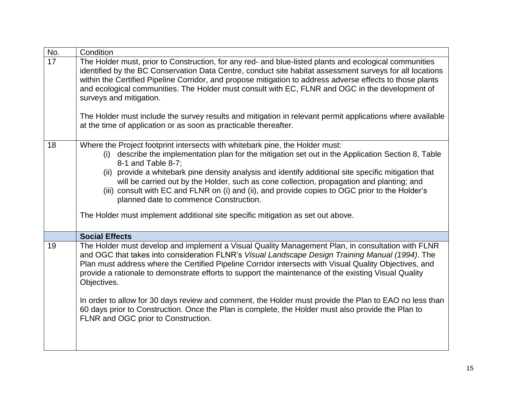| No. | Condition                                                                                                                                                                                                                                                                                                                                                                                                                                                                                                                                                                                                                                                                                     |  |  |  |
|-----|-----------------------------------------------------------------------------------------------------------------------------------------------------------------------------------------------------------------------------------------------------------------------------------------------------------------------------------------------------------------------------------------------------------------------------------------------------------------------------------------------------------------------------------------------------------------------------------------------------------------------------------------------------------------------------------------------|--|--|--|
| 17  | The Holder must, prior to Construction, for any red- and blue-listed plants and ecological communities<br>identified by the BC Conservation Data Centre, conduct site habitat assessment surveys for all locations<br>within the Certified Pipeline Corridor, and propose mitigation to address adverse effects to those plants<br>and ecological communities. The Holder must consult with EC, FLNR and OGC in the development of<br>surveys and mitigation.<br>The Holder must include the survey results and mitigation in relevant permit applications where available<br>at the time of application or as soon as practicable thereafter.                                                |  |  |  |
| 18  | Where the Project footprint intersects with whitebark pine, the Holder must:<br>describe the implementation plan for the mitigation set out in the Application Section 8, Table<br>(i)<br>8-1 and Table 8-7;<br>(ii) provide a whitebark pine density analysis and identify additional site specific mitigation that<br>will be carried out by the Holder, such as cone collection, propagation and planting; and<br>(iii) consult with EC and FLNR on (i) and (ii), and provide copies to OGC prior to the Holder's<br>planned date to commence Construction.<br>The Holder must implement additional site specific mitigation as set out above.                                             |  |  |  |
|     | <b>Social Effects</b>                                                                                                                                                                                                                                                                                                                                                                                                                                                                                                                                                                                                                                                                         |  |  |  |
| 19  | The Holder must develop and implement a Visual Quality Management Plan, in consultation with FLNR<br>and OGC that takes into consideration FLNR's Visual Landscape Design Training Manual (1994). The<br>Plan must address where the Certified Pipeline Corridor intersects with Visual Quality Objectives, and<br>provide a rationale to demonstrate efforts to support the maintenance of the existing Visual Quality<br>Objectives.<br>In order to allow for 30 days review and comment, the Holder must provide the Plan to EAO no less than<br>60 days prior to Construction. Once the Plan is complete, the Holder must also provide the Plan to<br>FLNR and OGC prior to Construction. |  |  |  |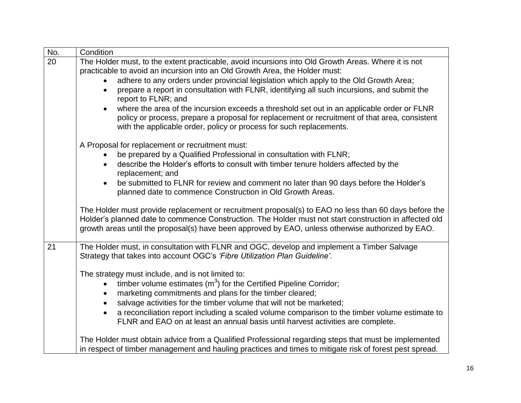| No. | Condition                                                                                                                                                                                                                                                                                                            |  |  |  |  |
|-----|----------------------------------------------------------------------------------------------------------------------------------------------------------------------------------------------------------------------------------------------------------------------------------------------------------------------|--|--|--|--|
| 20  | The Holder must, to the extent practicable, avoid incursions into Old Growth Areas. Where it is not                                                                                                                                                                                                                  |  |  |  |  |
|     | practicable to avoid an incursion into an Old Growth Area, the Holder must:                                                                                                                                                                                                                                          |  |  |  |  |
|     | adhere to any orders under provincial legislation which apply to the Old Growth Area;                                                                                                                                                                                                                                |  |  |  |  |
|     | prepare a report in consultation with FLNR, identifying all such incursions, and submit the<br>$\bullet$<br>report to FLNR; and                                                                                                                                                                                      |  |  |  |  |
|     | where the area of the incursion exceeds a threshold set out in an applicable order or FLNR<br>$\bullet$                                                                                                                                                                                                              |  |  |  |  |
|     | policy or process, prepare a proposal for replacement or recruitment of that area, consistent<br>with the applicable order, policy or process for such replacements.                                                                                                                                                 |  |  |  |  |
|     | A Proposal for replacement or recruitment must:                                                                                                                                                                                                                                                                      |  |  |  |  |
|     | be prepared by a Qualified Professional in consultation with FLNR;                                                                                                                                                                                                                                                   |  |  |  |  |
|     | describe the Holder's efforts to consult with timber tenure holders affected by the<br>$\bullet$<br>replacement; and<br>be submitted to FLNR for review and comment no later than 90 days before the Holder's<br>$\bullet$<br>planned date to commence Construction in Old Growth Areas.                             |  |  |  |  |
|     |                                                                                                                                                                                                                                                                                                                      |  |  |  |  |
|     | The Holder must provide replacement or recruitment proposal(s) to EAO no less than 60 days before the<br>Holder's planned date to commence Construction. The Holder must not start construction in affected old<br>growth areas until the proposal(s) have been approved by EAO, unless otherwise authorized by EAO. |  |  |  |  |
| 21  | The Holder must, in consultation with FLNR and OGC, develop and implement a Timber Salvage<br>Strategy that takes into account OGC's 'Fibre Utilization Plan Guideline'.                                                                                                                                             |  |  |  |  |
|     | The strategy must include, and is not limited to:                                                                                                                                                                                                                                                                    |  |  |  |  |
|     | timber volume estimates $(m^3)$ for the Certified Pipeline Corridor;<br>$\bullet$                                                                                                                                                                                                                                    |  |  |  |  |
|     | marketing commitments and plans for the timber cleared;<br>$\bullet$                                                                                                                                                                                                                                                 |  |  |  |  |
|     | salvage activities for the timber volume that will not be marketed;                                                                                                                                                                                                                                                  |  |  |  |  |
|     | a reconciliation report including a scaled volume comparison to the timber volume estimate to<br>FLNR and EAO on at least an annual basis until harvest activities are complete.                                                                                                                                     |  |  |  |  |
|     | The Holder must obtain advice from a Qualified Professional regarding steps that must be implemented<br>in respect of timber management and hauling practices and times to mitigate risk of forest pest spread.                                                                                                      |  |  |  |  |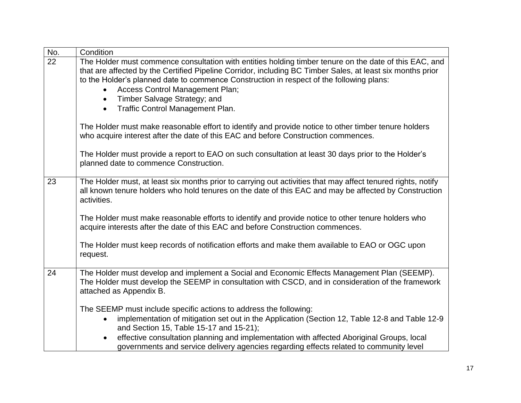| No.                                                  | Condition                                                                                                                                                                                                                                                                                                        |  |  |  |  |
|------------------------------------------------------|------------------------------------------------------------------------------------------------------------------------------------------------------------------------------------------------------------------------------------------------------------------------------------------------------------------|--|--|--|--|
| 22                                                   | The Holder must commence consultation with entities holding timber tenure on the date of this EAC, and<br>that are affected by the Certified Pipeline Corridor, including BC Timber Sales, at least six months prior<br>to the Holder's planned date to commence Construction in respect of the following plans: |  |  |  |  |
|                                                      | Access Control Management Plan;<br>$\bullet$                                                                                                                                                                                                                                                                     |  |  |  |  |
|                                                      | Timber Salvage Strategy; and<br>$\bullet$                                                                                                                                                                                                                                                                        |  |  |  |  |
| <b>Traffic Control Management Plan.</b><br>$\bullet$ |                                                                                                                                                                                                                                                                                                                  |  |  |  |  |
|                                                      | The Holder must make reasonable effort to identify and provide notice to other timber tenure holders<br>who acquire interest after the date of this EAC and before Construction commences.                                                                                                                       |  |  |  |  |
|                                                      | The Holder must provide a report to EAO on such consultation at least 30 days prior to the Holder's<br>planned date to commence Construction.                                                                                                                                                                    |  |  |  |  |
| 23                                                   | The Holder must, at least six months prior to carrying out activities that may affect tenured rights, notify<br>all known tenure holders who hold tenures on the date of this EAC and may be affected by Construction<br>activities.                                                                             |  |  |  |  |
|                                                      | The Holder must make reasonable efforts to identify and provide notice to other tenure holders who<br>acquire interests after the date of this EAC and before Construction commences.                                                                                                                            |  |  |  |  |
|                                                      | The Holder must keep records of notification efforts and make them available to EAO or OGC upon<br>request.                                                                                                                                                                                                      |  |  |  |  |
| 24                                                   | The Holder must develop and implement a Social and Economic Effects Management Plan (SEEMP).<br>The Holder must develop the SEEMP in consultation with CSCD, and in consideration of the framework<br>attached as Appendix B.                                                                                    |  |  |  |  |
|                                                      | The SEEMP must include specific actions to address the following:                                                                                                                                                                                                                                                |  |  |  |  |
|                                                      | implementation of mitigation set out in the Application (Section 12, Table 12-8 and Table 12-9<br>and Section 15, Table 15-17 and 15-21);                                                                                                                                                                        |  |  |  |  |
|                                                      | effective consultation planning and implementation with affected Aboriginal Groups, local<br>$\bullet$                                                                                                                                                                                                           |  |  |  |  |
|                                                      | governments and service delivery agencies regarding effects related to community level                                                                                                                                                                                                                           |  |  |  |  |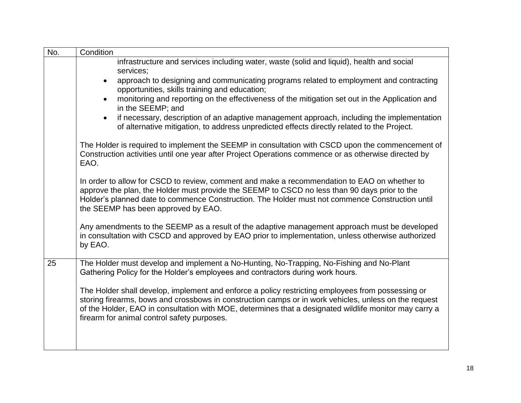| No. | Condition                                                                                                                                                                                                                                                                                                                                                           |  |  |  |  |
|-----|---------------------------------------------------------------------------------------------------------------------------------------------------------------------------------------------------------------------------------------------------------------------------------------------------------------------------------------------------------------------|--|--|--|--|
|     | infrastructure and services including water, waste (solid and liquid), health and social<br>services;                                                                                                                                                                                                                                                               |  |  |  |  |
|     | approach to designing and communicating programs related to employment and contracting<br>$\bullet$<br>opportunities, skills training and education;                                                                                                                                                                                                                |  |  |  |  |
|     | monitoring and reporting on the effectiveness of the mitigation set out in the Application and<br>$\bullet$<br>in the SEEMP; and                                                                                                                                                                                                                                    |  |  |  |  |
|     | if necessary, description of an adaptive management approach, including the implementation<br>$\bullet$<br>of alternative mitigation, to address unpredicted effects directly related to the Project.                                                                                                                                                               |  |  |  |  |
|     | The Holder is required to implement the SEEMP in consultation with CSCD upon the commencement of<br>Construction activities until one year after Project Operations commence or as otherwise directed by<br>EAO.                                                                                                                                                    |  |  |  |  |
|     | In order to allow for CSCD to review, comment and make a recommendation to EAO on whether to<br>approve the plan, the Holder must provide the SEEMP to CSCD no less than 90 days prior to the<br>Holder's planned date to commence Construction. The Holder must not commence Construction until<br>the SEEMP has been approved by EAO.                             |  |  |  |  |
|     | Any amendments to the SEEMP as a result of the adaptive management approach must be developed<br>in consultation with CSCD and approved by EAO prior to implementation, unless otherwise authorized<br>by EAO.                                                                                                                                                      |  |  |  |  |
| 25  | The Holder must develop and implement a No-Hunting, No-Trapping, No-Fishing and No-Plant<br>Gathering Policy for the Holder's employees and contractors during work hours.                                                                                                                                                                                          |  |  |  |  |
|     | The Holder shall develop, implement and enforce a policy restricting employees from possessing or<br>storing firearms, bows and crossbows in construction camps or in work vehicles, unless on the request<br>of the Holder, EAO in consultation with MOE, determines that a designated wildlife monitor may carry a<br>firearm for animal control safety purposes. |  |  |  |  |
|     |                                                                                                                                                                                                                                                                                                                                                                     |  |  |  |  |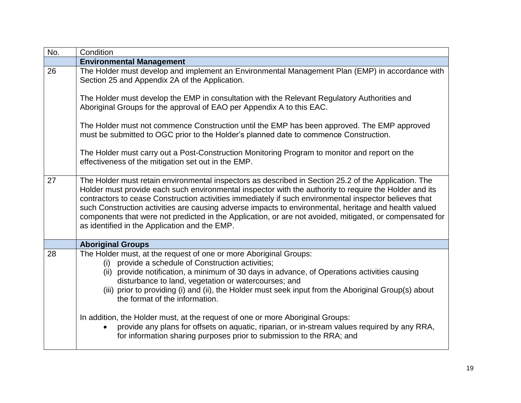| No. | Condition                                                                                                                                                                                                                                                                                                                                                                                                                                                                                                                                                                                      |  |  |  |
|-----|------------------------------------------------------------------------------------------------------------------------------------------------------------------------------------------------------------------------------------------------------------------------------------------------------------------------------------------------------------------------------------------------------------------------------------------------------------------------------------------------------------------------------------------------------------------------------------------------|--|--|--|
|     | <b>Environmental Management</b>                                                                                                                                                                                                                                                                                                                                                                                                                                                                                                                                                                |  |  |  |
| 26  | The Holder must develop and implement an Environmental Management Plan (EMP) in accordance with<br>Section 25 and Appendix 2A of the Application.                                                                                                                                                                                                                                                                                                                                                                                                                                              |  |  |  |
|     | The Holder must develop the EMP in consultation with the Relevant Regulatory Authorities and<br>Aboriginal Groups for the approval of EAO per Appendix A to this EAC.                                                                                                                                                                                                                                                                                                                                                                                                                          |  |  |  |
|     | The Holder must not commence Construction until the EMP has been approved. The EMP approved<br>must be submitted to OGC prior to the Holder's planned date to commence Construction.                                                                                                                                                                                                                                                                                                                                                                                                           |  |  |  |
|     | The Holder must carry out a Post-Construction Monitoring Program to monitor and report on the<br>effectiveness of the mitigation set out in the EMP.                                                                                                                                                                                                                                                                                                                                                                                                                                           |  |  |  |
| 27  | The Holder must retain environmental inspectors as described in Section 25.2 of the Application. The<br>Holder must provide each such environmental inspector with the authority to require the Holder and its<br>contractors to cease Construction activities immediately if such environmental inspector believes that<br>such Construction activities are causing adverse impacts to environmental, heritage and health valued<br>components that were not predicted in the Application, or are not avoided, mitigated, or compensated for<br>as identified in the Application and the EMP. |  |  |  |
|     | <b>Aboriginal Groups</b>                                                                                                                                                                                                                                                                                                                                                                                                                                                                                                                                                                       |  |  |  |
| 28  | The Holder must, at the request of one or more Aboriginal Groups:<br>(i) provide a schedule of Construction activities;<br>(ii) provide notification, a minimum of 30 days in advance, of Operations activities causing<br>disturbance to land, vegetation or watercourses; and<br>(iii) prior to providing (i) and (ii), the Holder must seek input from the Aboriginal Group(s) about<br>the format of the information.                                                                                                                                                                      |  |  |  |
|     | In addition, the Holder must, at the request of one or more Aboriginal Groups:<br>provide any plans for offsets on aquatic, riparian, or in-stream values required by any RRA,<br>for information sharing purposes prior to submission to the RRA; and                                                                                                                                                                                                                                                                                                                                         |  |  |  |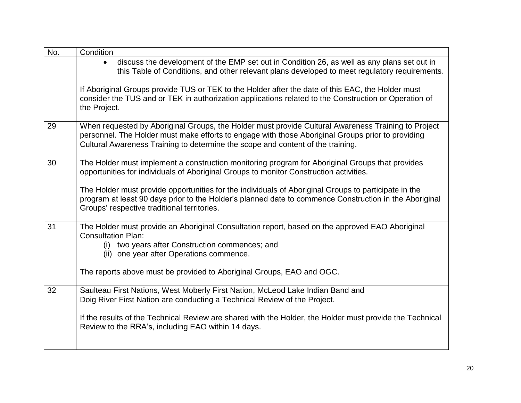| Condition                                                                                                                                                                                                                                                                                   |
|---------------------------------------------------------------------------------------------------------------------------------------------------------------------------------------------------------------------------------------------------------------------------------------------|
| discuss the development of the EMP set out in Condition 26, as well as any plans set out in<br>$\bullet$<br>this Table of Conditions, and other relevant plans developed to meet regulatory requirements.                                                                                   |
| If Aboriginal Groups provide TUS or TEK to the Holder after the date of this EAC, the Holder must<br>consider the TUS and or TEK in authorization applications related to the Construction or Operation of<br>the Project.                                                                  |
| When requested by Aboriginal Groups, the Holder must provide Cultural Awareness Training to Project<br>personnel. The Holder must make efforts to engage with those Aboriginal Groups prior to providing<br>Cultural Awareness Training to determine the scope and content of the training. |
| The Holder must implement a construction monitoring program for Aboriginal Groups that provides<br>opportunities for individuals of Aboriginal Groups to monitor Construction activities.                                                                                                   |
| The Holder must provide opportunities for the individuals of Aboriginal Groups to participate in the<br>program at least 90 days prior to the Holder's planned date to commence Construction in the Aboriginal<br>Groups' respective traditional territories.                               |
| The Holder must provide an Aboriginal Consultation report, based on the approved EAO Aboriginal<br><b>Consultation Plan:</b><br>(i) two years after Construction commences; and<br>(ii) one year after Operations commence.                                                                 |
| The reports above must be provided to Aboriginal Groups, EAO and OGC.                                                                                                                                                                                                                       |
| Saulteau First Nations, West Moberly First Nation, McLeod Lake Indian Band and<br>Doig River First Nation are conducting a Technical Review of the Project.                                                                                                                                 |
| If the results of the Technical Review are shared with the Holder, the Holder must provide the Technical<br>Review to the RRA's, including EAO within 14 days.                                                                                                                              |
|                                                                                                                                                                                                                                                                                             |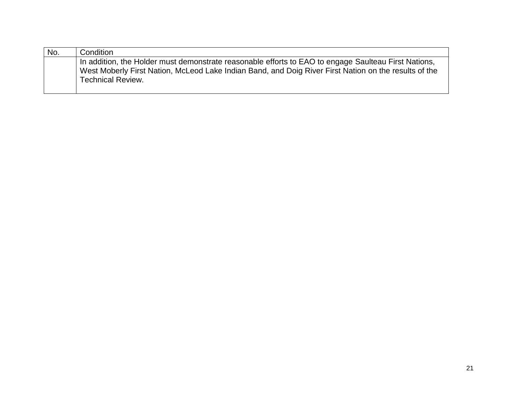| No. | Condition                                                                                             |
|-----|-------------------------------------------------------------------------------------------------------|
|     | In addition, the Holder must demonstrate reasonable efforts to EAO to engage Saulteau First Nations,  |
|     | West Moberly First Nation, McLeod Lake Indian Band, and Doig River First Nation on the results of the |
|     | <b>Technical Review.</b>                                                                              |
|     |                                                                                                       |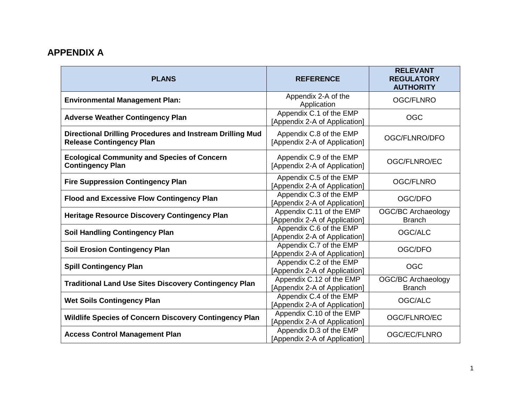### **APPENDIX A**

| <b>PLANS</b>                                                                                 | <b>REFERENCE</b>                                          | <b>RELEVANT</b><br><b>REGULATORY</b><br><b>AUTHORITY</b> |
|----------------------------------------------------------------------------------------------|-----------------------------------------------------------|----------------------------------------------------------|
| <b>Environmental Management Plan:</b>                                                        | Appendix 2-A of the<br>Application                        | <b>OGC/FLNRO</b>                                         |
| <b>Adverse Weather Contingency Plan</b>                                                      | Appendix C.1 of the EMP<br>[Appendix 2-A of Application]  | <b>OGC</b>                                               |
| Directional Drilling Procedures and Instream Drilling Mud<br><b>Release Contingency Plan</b> | Appendix C.8 of the EMP<br>[Appendix 2-A of Application]  | OGC/FLNRO/DFO                                            |
| <b>Ecological Community and Species of Concern</b><br><b>Contingency Plan</b>                | Appendix C.9 of the EMP<br>[Appendix 2-A of Application]  | OGC/FLNRO/EC                                             |
| <b>Fire Suppression Contingency Plan</b>                                                     | Appendix C.5 of the EMP<br>[Appendix 2-A of Application]  | <b>OGC/FLNRO</b>                                         |
| <b>Flood and Excessive Flow Contingency Plan</b>                                             | Appendix C.3 of the EMP<br>[Appendix 2-A of Application]  | OGC/DFO                                                  |
| <b>Heritage Resource Discovery Contingency Plan</b>                                          | Appendix C.11 of the EMP<br>[Appendix 2-A of Application] | <b>OGC/BC Archaeology</b><br><b>Branch</b>               |
| <b>Soil Handling Contingency Plan</b>                                                        | Appendix C.6 of the EMP<br>[Appendix 2-A of Application]  | OGC/ALC                                                  |
| <b>Soil Erosion Contingency Plan</b>                                                         | Appendix C.7 of the EMP<br>[Appendix 2-A of Application]  | OGC/DFO                                                  |
| <b>Spill Contingency Plan</b>                                                                | Appendix C.2 of the EMP<br>[Appendix 2-A of Application]  | <b>OGC</b>                                               |
| <b>Traditional Land Use Sites Discovery Contingency Plan</b>                                 | Appendix C.12 of the EMP<br>[Appendix 2-A of Application] | <b>OGC/BC Archaeology</b><br><b>Branch</b>               |
| <b>Wet Soils Contingency Plan</b>                                                            | Appendix C.4 of the EMP<br>[Appendix 2-A of Application]  | OGC/ALC                                                  |
| Wildlife Species of Concern Discovery Contingency Plan                                       | Appendix C.10 of the EMP<br>[Appendix 2-A of Application] | OGC/FLNRO/EC                                             |
| <b>Access Control Management Plan</b>                                                        | Appendix D.3 of the EMP<br>[Appendix 2-A of Application]  | OGC/EC/FLNRO                                             |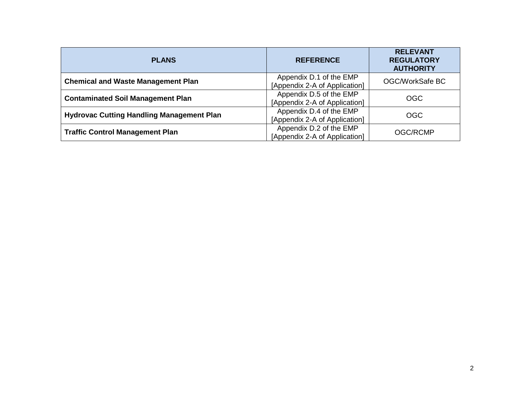| <b>PLANS</b>                                     | <b>REFERENCE</b>                                         | <b>RELEVANT</b><br><b>REGULATORY</b><br><b>AUTHORITY</b> |
|--------------------------------------------------|----------------------------------------------------------|----------------------------------------------------------|
| <b>Chemical and Waste Management Plan</b>        | Appendix D.1 of the EMP<br>[Appendix 2-A of Application] | OGC/WorkSafe BC                                          |
| <b>Contaminated Soil Management Plan</b>         | Appendix D.5 of the EMP<br>[Appendix 2-A of Application] | <b>OGC</b>                                               |
| <b>Hydrovac Cutting Handling Management Plan</b> | Appendix D.4 of the EMP<br>[Appendix 2-A of Application] | <b>OGC</b>                                               |
| <b>Traffic Control Management Plan</b>           | Appendix D.2 of the EMP<br>[Appendix 2-A of Application] | <b>OGC/RCMP</b>                                          |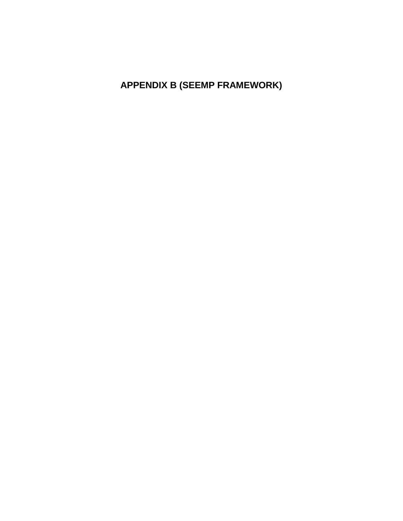**APPENDIX B (SEEMP FRAMEWORK)**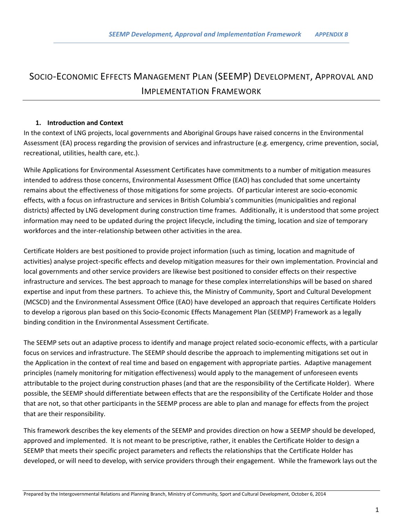### SOCIO-ECONOMIC EFFECTS MANAGEMENT PLAN (SEEMP) DEVELOPMENT, APPROVAL AND IMPLEMENTATION FRAMEWORK

#### **1. Introduction and Context**

In the context of LNG projects, local governments and Aboriginal Groups have raised concerns in the Environmental Assessment (EA) process regarding the provision of services and infrastructure (e.g. emergency, crime prevention, social, recreational, utilities, health care, etc.).

While Applications for Environmental Assessment Certificates have commitments to a number of mitigation measures intended to address those concerns, Environmental Assessment Office (EAO) has concluded that some uncertainty remains about the effectiveness of those mitigations for some projects. Of particular interest are socio-economic effects, with a focus on infrastructure and services in British Columbia's communities (municipalities and regional districts) affected by LNG development during construction time frames. Additionally, it is understood that some project information may need to be updated during the project lifecycle, including the timing, location and size of temporary workforces and the inter-relationship between other activities in the area.

Certificate Holders are best positioned to provide project information (such as timing, location and magnitude of activities) analyse project-specific effects and develop mitigation measures for their own implementation. Provincial and local governments and other service providers are likewise best positioned to consider effects on their respective infrastructure and services. The best approach to manage for these complex interrelationships will be based on shared expertise and input from these partners. To achieve this, the Ministry of Community, Sport and Cultural Development (MCSCD) and the Environmental Assessment Office (EAO) have developed an approach that requires Certificate Holders to develop a rigorous plan based on this Socio-Economic Effects Management Plan (SEEMP) Framework as a legally binding condition in the Environmental Assessment Certificate.

The SEEMP sets out an adaptive process to identify and manage project related socio-economic effects, with a particular focus on services and infrastructure. The SEEMP should describe the approach to implementing mitigations set out in the Application in the context of real time and based on engagement with appropriate parties. Adaptive management principles (namely monitoring for mitigation effectiveness) would apply to the management of unforeseen events attributable to the project during construction phases (and that are the responsibility of the Certificate Holder). Where possible, the SEEMP should differentiate between effects that are the responsibility of the Certificate Holder and those that are not, so that other participants in the SEEMP process are able to plan and manage for effects from the project that are their responsibility.

This framework describes the key elements of the SEEMP and provides direction on how a SEEMP should be developed, approved and implemented. It is not meant to be prescriptive, rather, it enables the Certificate Holder to design a SEEMP that meets their specific project parameters and reflects the relationships that the Certificate Holder has developed, or will need to develop, with service providers through their engagement. While the framework lays out the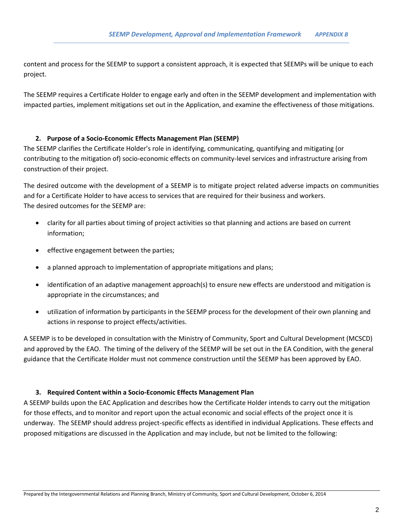content and process for the SEEMP to support a consistent approach, it is expected that SEEMPs will be unique to each project.

The SEEMP requires a Certificate Holder to engage early and often in the SEEMP development and implementation with impacted parties, implement mitigations set out in the Application, and examine the effectiveness of those mitigations.

#### **2. Purpose of a Socio-Economic Effects Management Plan (SEEMP)**

The SEEMP clarifies the Certificate Holder's role in identifying, communicating, quantifying and mitigating (or contributing to the mitigation of) socio-economic effects on community-level services and infrastructure arising from construction of their project.

The desired outcome with the development of a SEEMP is to mitigate project related adverse impacts on communities and for a Certificate Holder to have access to services that are required for their business and workers. The desired outcomes for the SEEMP are:

- clarity for all parties about timing of project activities so that planning and actions are based on current information;
- **•** effective engagement between the parties;
- a planned approach to implementation of appropriate mitigations and plans;
- identification of an adaptive management approach(s) to ensure new effects are understood and mitigation is appropriate in the circumstances; and
- utilization of information by participants in the SEEMP process for the development of their own planning and actions in response to project effects/activities.

A SEEMP is to be developed in consultation with the Ministry of Community, Sport and Cultural Development (MCSCD) and approved by the EAO. The timing of the delivery of the SEEMP will be set out in the EA Condition, with the general guidance that the Certificate Holder must not commence construction until the SEEMP has been approved by EAO.

#### **3. Required Content within a Socio-Economic Effects Management Plan**

A SEEMP builds upon the EAC Application and describes how the Certificate Holder intends to carry out the mitigation for those effects, and to monitor and report upon the actual economic and social effects of the project once it is underway. The SEEMP should address project-specific effects as identified in individual Applications. These effects and proposed mitigations are discussed in the Application and may include, but not be limited to the following: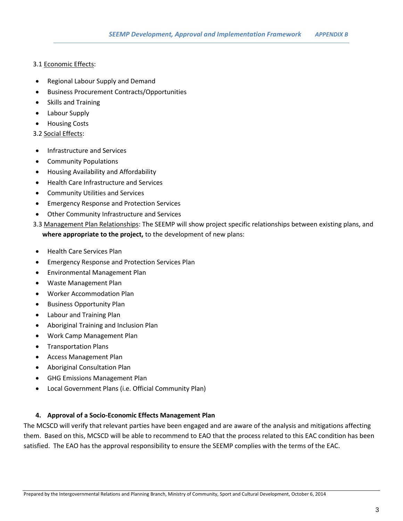#### 3.1 Economic Effects:

- Regional Labour Supply and Demand
- Business Procurement Contracts/Opportunities
- Skills and Training
- Labour Supply
- **•** Housing Costs

#### 3.2 Social Effects:

- Infrastructure and Services
- Community Populations
- Housing Availability and Affordability
- Health Care Infrastructure and Services
- Community Utilities and Services
- Emergency Response and Protection Services
- Other Community Infrastructure and Services
- 3.3 Management Plan Relationships: The SEEMP will show project specific relationships between existing plans, and **where appropriate to the project,** to the development of new plans:
- Health Care Services Plan
- Emergency Response and Protection Services Plan
- Environmental Management Plan
- Waste Management Plan
- Worker Accommodation Plan
- Business Opportunity Plan
- Labour and Training Plan
- Aboriginal Training and Inclusion Plan
- Work Camp Management Plan
- Transportation Plans
- Access Management Plan
- Aboriginal Consultation Plan
- GHG Emissions Management Plan
- Local Government Plans (i.e. Official Community Plan)

#### **4. Approval of a Socio-Economic Effects Management Plan**

The MCSCD will verify that relevant parties have been engaged and are aware of the analysis and mitigations affecting them. Based on this, MCSCD will be able to recommend to EAO that the process related to this EAC condition has been satisfied. The EAO has the approval responsibility to ensure the SEEMP complies with the terms of the EAC.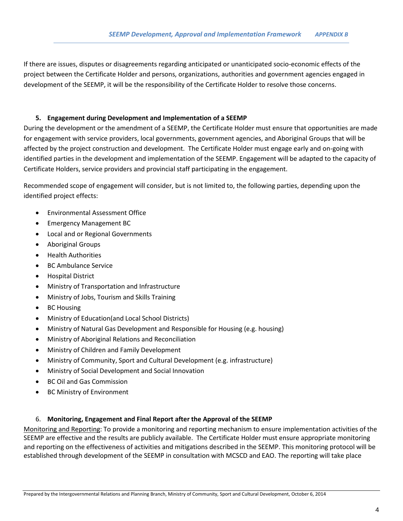If there are issues, disputes or disagreements regarding anticipated or unanticipated socio-economic effects of the project between the Certificate Holder and persons, organizations, authorities and government agencies engaged in development of the SEEMP, it will be the responsibility of the Certificate Holder to resolve those concerns.

#### **5. Engagement during Development and Implementation of a SEEMP**

During the development or the amendment of a SEEMP, the Certificate Holder must ensure that opportunities are made for engagement with service providers, local governments, government agencies, and Aboriginal Groups that will be affected by the project construction and development. The Certificate Holder must engage early and on-going with identified parties in the development and implementation of the SEEMP. Engagement will be adapted to the capacity of Certificate Holders, service providers and provincial staff participating in the engagement.

Recommended scope of engagement will consider, but is not limited to, the following parties, depending upon the identified project effects:

- Environmental Assessment Office
- Emergency Management BC
- Local and or Regional Governments
- Aboriginal Groups
- Health Authorities
- BC Ambulance Service
- Hospital District
- Ministry of Transportation and Infrastructure
- Ministry of Jobs, Tourism and Skills Training
- BC Housing
- Ministry of Education(and Local School Districts)
- Ministry of Natural Gas Development and Responsible for Housing (e.g. housing)
- Ministry of Aboriginal Relations and Reconciliation
- Ministry of Children and Family Development
- Ministry of Community, Sport and Cultural Development (e.g. infrastructure)
- Ministry of Social Development and Social Innovation
- BC Oil and Gas Commission
- BC Ministry of Environment

#### 6. **Monitoring, Engagement and Final Report after the Approval of the SEEMP**

Monitoring and Reporting: To provide a monitoring and reporting mechanism to ensure implementation activities of the SEEMP are effective and the results are publicly available. The Certificate Holder must ensure appropriate monitoring and reporting on the effectiveness of activities and mitigations described in the SEEMP. This monitoring protocol will be established through development of the SEEMP in consultation with MCSCD and EAO. The reporting will take place